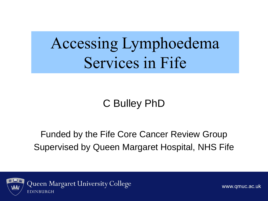### Accessing Lymphoedema Services in Fife

#### C Bulley PhD

#### Funded by the Fife Core Cancer Review Group Supervised by Queen Margaret Hospital, NHS Fife



Queen Margaret University College EDINBURGH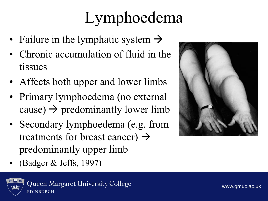# Lymphoedema

- Failure in the lymphatic system  $\rightarrow$
- Chronic accumulation of fluid in the tissues
- Affects both upper and lower limbs
- Primary lymphoedema (no external cause)  $\rightarrow$  predominantly lower limb
- Secondary lymphoedema (e.g. from treatments for breast cancer)  $\rightarrow$ predominantly upper limb
- (Badger & Jeffs, 1997)



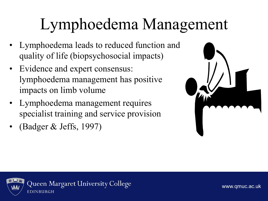# Lymphoedema Management

- Lymphoedema leads to reduced function and quality of life (biopsychosocial impacts)
- Evidence and expert consensus: lymphoedema management has positive impacts on limb volume
- Lymphoedema management requires specialist training and service provision
- (Badger & Jeffs, 1997)



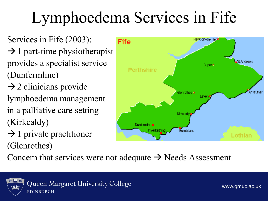# Lymphoedema Services in Fife

- Services in Fife (2003):  $\rightarrow$  1 part-time physiotherapist provides a specialist service (Dunfermline)  $\rightarrow$  2 clinicians provide
- lymphoedema management in a palliative care setting (Kirkcaldy)
- $\rightarrow$  1 private practitioner (Glenrothes)



Concern that services were not adequate  $\rightarrow$  Needs Assessment

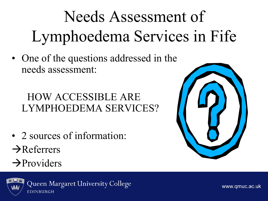# Needs Assessment of Lymphoedema Services in Fife

• One of the questions addressed in the needs assessment:

#### HOW ACCESSIBLE ARE LYMPHOEDEMA SERVICES?

- 2 sources of information:  $\rightarrow$ Referrers
- $\rightarrow$ Providers



Queen Margaret University College EDINBURGH

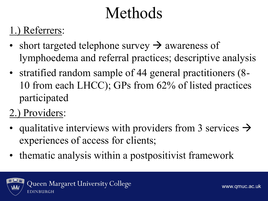### Methods

#### 1.) Referrers:

- short targeted telephone survey  $\rightarrow$  awareness of lymphoedema and referral practices; descriptive analysis
- stratified random sample of 44 general practitioners (8-10 from each LHCC); GPs from 62% of listed practices participated
- 2.) Providers:
- qualitative interviews with providers from 3 services  $\rightarrow$ experiences of access for clients;
- thematic analysis within a postpositivist framework

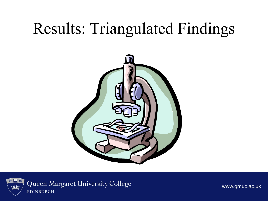### Results: Triangulated Findings



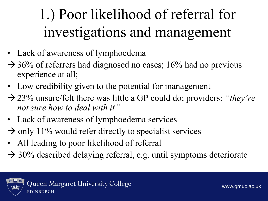### 1.) Poor likelihood of referral for investigations and management

- Lack of awareness of lymphoedema
- $\rightarrow$  36% of referrers had diagnosed no cases; 16% had no previous experience at all;
- Low credibility given to the potential for management
- 23% unsure/felt there was little a GP could do; providers: *"they're not sure how to deal with it"*
- Lack of awareness of lymphoedema services
- $\rightarrow$  only 11% would refer directly to specialist services
- All leading to poor likelihood of referral
- $\rightarrow$  30% described delaying referral, e.g. until symptoms deteriorate

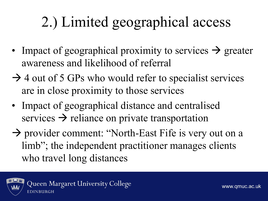### 2.) Limited geographical access

- Impact of geographical proximity to services  $\rightarrow$  greater awareness and likelihood of referral
- $\rightarrow$  4 out of 5 GPs who would refer to specialist services are in close proximity to those services
- Impact of geographical distance and centralised services  $\rightarrow$  reliance on private transportation
- $\rightarrow$  provider comment: "North-East Fife is very out on a limb"; the independent practitioner manages clients who travel long distances